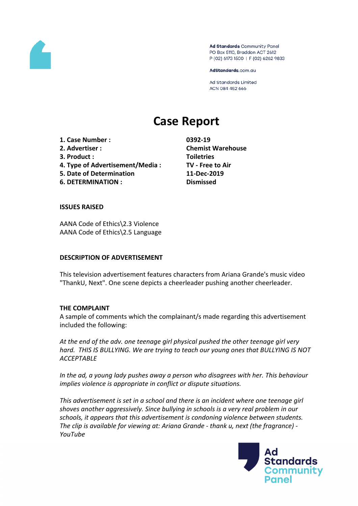

Ad Standards Community Panel PO Box 5110, Braddon ACT 2612 P (02) 6173 1500 | F (02) 6262 9833

AdStandards.com.au

**Ad Standards Limited** ACN 084 452 666

# **Case Report**

**1. Case Number : 0392-19 2. Advertiser : Chemist Warehouse 3. Product : Toiletries 4. Type of Advertisement/Media : TV - Free to Air 5. Date of Determination 11-Dec-2019 6. DETERMINATION : Dismissed**

#### **ISSUES RAISED**

AANA Code of Ethics\2.3 Violence AANA Code of Ethics\2.5 Language

#### **DESCRIPTION OF ADVERTISEMENT**

This television advertisement features characters from Ariana Grande's music video "ThankU, Next". One scene depicts a cheerleader pushing another cheerleader.

#### **THE COMPLAINT**

A sample of comments which the complainant/s made regarding this advertisement included the following:

*At the end of the adv. one teenage girl physical pushed the other teenage girl very hard. THIS IS BULLYING. We are trying to teach our young ones that BULLYING IS NOT ACCEPTABLE*

*In the ad, a young lady pushes away a person who disagrees with her. This behaviour implies violence is appropriate in conflict or dispute situations.*

*This advertisement is set in a school and there is an incident where one teenage girl shoves another aggressively. Since bullying in schools is a very real problem in our schools, it appears that this advertisement is condoning violence between students. The clip is available for viewing at: Ariana Grande - thank u, next (the fragrance) - YouTube*

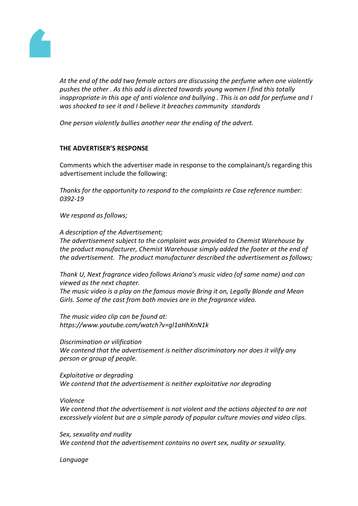

*At the end of the add two female actors are discussing the perfume when one violently pushes the other . As this add is directed towards young women I find this totally inappropriate in this age of anti violence and bullying . This is an add for perfume and I was shocked to see it and I believe it breaches community standards*

*One person violently bullies another near the ending of the advert.*

## **THE ADVERTISER'S RESPONSE**

Comments which the advertiser made in response to the complainant/s regarding this advertisement include the following:

*Thanks for the opportunity to respond to the complaints re Case reference number: 0392-19*

*We respond as follows;*

*A description of the Advertisement; The advertisement subject to the complaint was provided to Chemist Warehouse by*

*the product manufacturer, Chemist Warehouse simply added the footer at the end of the advertisement. The product manufacturer described the advertisement as follows;*

*Thank U, Next fragrance video follows Ariana's music video (of same name) and can viewed as the next chapter.*

*The music video is a play on the famous movie Bring it on, Legally Blonde and Mean Girls. Some of the cast from both movies are in the fragrance video.*

*The music video clip can be found at: https://www.youtube.com/watch?v=gl1aHhXnN1k*

*Discrimination or vilification We contend that the advertisement is neither discriminatory nor does it vilify any person or group of people.*

*Exploitative or degrading We contend that the advertisement is neither exploitative nor degrading*

## *Violence*

*We contend that the advertisement is not violent and the actions objected to are not excessively violent but are a simple parody of popular culture movies and video clips.*

*Sex, sexuality and nudity We contend that the advertisement contains no overt sex, nudity or sexuality.*

*Language*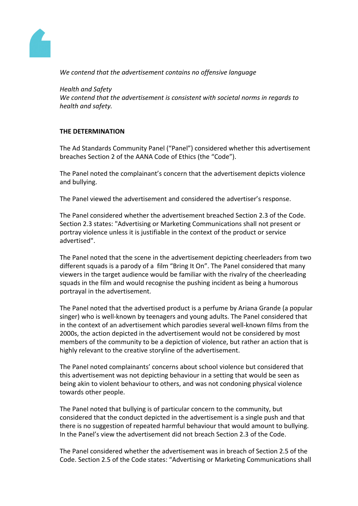

*We contend that the advertisement contains no offensive language*

*Health and Safety We contend that the advertisement is consistent with societal norms in regards to health and safety.*

# **THE DETERMINATION**

The Ad Standards Community Panel ("Panel") considered whether this advertisement breaches Section 2 of the AANA Code of Ethics (the "Code").

The Panel noted the complainant's concern that the advertisement depicts violence and bullying.

The Panel viewed the advertisement and considered the advertiser's response.

The Panel considered whether the advertisement breached Section 2.3 of the Code. Section 2.3 states: "Advertising or Marketing Communications shall not present or portray violence unless it is justifiable in the context of the product or service advertised".

The Panel noted that the scene in the advertisement depicting cheerleaders from two different squads is a parody of a film "Bring It On". The Panel considered that many viewers in the target audience would be familiar with the rivalry of the cheerleading squads in the film and would recognise the pushing incident as being a humorous portrayal in the advertisement.

The Panel noted that the advertised product is a perfume by Ariana Grande (a popular singer) who is well-known by teenagers and young adults. The Panel considered that in the context of an advertisement which parodies several well-known films from the 2000s, the action depicted in the advertisement would not be considered by most members of the community to be a depiction of violence, but rather an action that is highly relevant to the creative storyline of the advertisement.

The Panel noted complainants' concerns about school violence but considered that this advertisement was not depicting behaviour in a setting that would be seen as being akin to violent behaviour to others, and was not condoning physical violence towards other people.

The Panel noted that bullying is of particular concern to the community, but considered that the conduct depicted in the advertisement is a single push and that there is no suggestion of repeated harmful behaviour that would amount to bullying. In the Panel's view the advertisement did not breach Section 2.3 of the Code.

The Panel considered whether the advertisement was in breach of Section 2.5 of the Code. Section 2.5 of the Code states: "Advertising or Marketing Communications shall